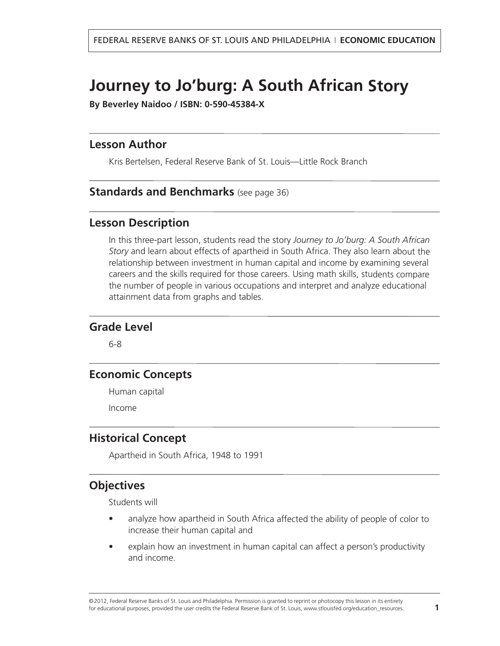# **Journey to Jo'burg: A South African Story**

**By Beverley Naidoo / ISBN: 0-590-45384-X**

#### **Lesson Author**

Kris Bertelsen, Federal Reserve Bank of St. Louis—Little Rock Branch

#### **[Standards and Benchmarks](#page-35-0)** (see page 36)

#### **Lesson Description**

In this three-part lesson, students read the story *Journey to Jo'burg: A South African Story* and learn about effects of apartheid in South Africa. They also learn about the relationship between investment in human capital and income by examining several careers and the skills required for those careers. Using math skills, students compare the number of people in various occupations and interpret and analyze educational attainment data from graphs and tables.

#### **Grade Level**

6-8

# **Economic Concepts**

Human capital

Income

#### **Historical Concept**

Apartheid in South Africa, 1948 to 1991

## **Objectives**

Students will

- • analyze how apartheid in South Africa affected the ability of people of color to increase their human capital and
- • explain how an investment in human capital can affect a person's productivity and income.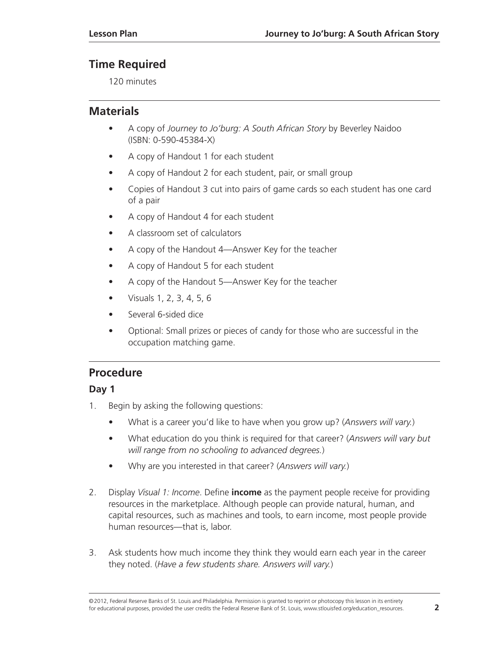# **Time Required**

120 minutes

# **Materials**

- A copy of *Journey to Jo'burg: A South African Story* by Beverley Naidoo (ISBN: 0-590-45384-X)
- A copy of Handout 1 for each student
- A copy of Handout 2 for each student, pair, or small group
- Copies of Handout 3 cut into pairs of game cards so each student has one card of a pair
- A copy of Handout 4 for each student
- A classroom set of calculators
- A copy of the Handout 4—Answer Key for the teacher
- A copy of Handout 5 for each student
- A copy of the Handout 5—Answer Key for the teacher
- Visuals 1, 2, 3, 4, 5, 6
- Several 6-sided dice
- Optional: Small prizes or pieces of candy for those who are successful in the occupation matching game.

# **Procedure**

## **Day 1**

- 1. Begin by asking the following questions:
	- What is a career you'd like to have when you grow up? (*Answers will vary.*)
	- What education do you think is required for that career? (*Answers will vary but will range from no schooling to advanced degrees.*)
	- Why are you interested in that career? (*Answers will vary.*)
- 2. Display *Visual 1: Income*. Define **income** as the payment people receive for providing resources in the marketplace. Although people can provide natural, human, and capital resources, such as machines and tools, to earn income, most people provide human resources—that is, labor.
- 3. Ask students how much income they think they would earn each year in the career they noted. (*Have a few students share. Answers will vary.*)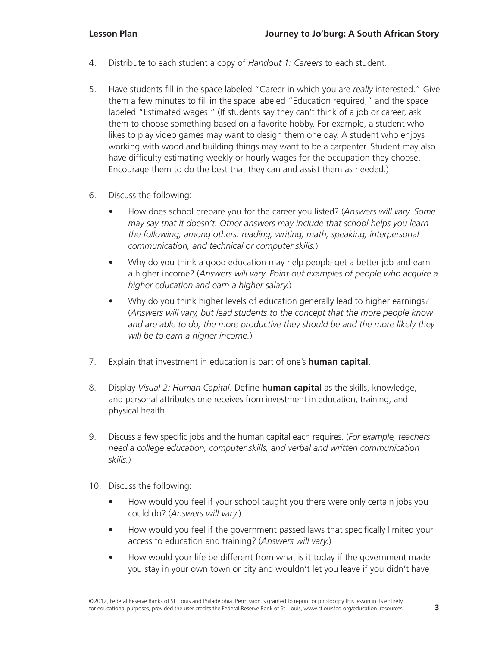- 4. Distribute to each student a copy of *Handout 1: Careers* to each student.
- 5. Have students fill in the space labeled "Career in which you are *really* interested." Give them a few minutes to fill in the space labeled "Education required," and the space labeled "Estimated wages." (If students say they can't think of a job or career, ask them to choose something based on a favorite hobby. For example, a student who likes to play video games may want to design them one day. A student who enjoys working with wood and building things may want to be a carpenter. Student may also have difficulty estimating weekly or hourly wages for the occupation they choose. Encourage them to do the best that they can and assist them as needed.)
- 6. Discuss the following:
	- How does school prepare you for the career you listed? (*Answers will vary. Some may say that it doesn't. Other answers may include that school helps you learn the following, among others: reading, writing, math, speaking, interpersonal communication, and technical or computer skills.*)
	- Why do you think a good education may help people get a better job and earn a higher income? (*Answers will vary. Point out examples of people who acquire a higher education and earn a higher salary.*)
	- Why do you think higher levels of education generally lead to higher earnings? (*Answers will vary, but lead students to the concept that the more people know and are able to do, the more productive they should be and the more likely they will be to earn a higher income.*)
- 7. Explain that investment in education is part of one's **human capital**.
- 8. Display *Visual 2: Human Capital*. Define **human capital** as the skills, knowledge, and personal attributes one receives from investment in education, training, and physical health.
- 9. Discuss a few specific jobs and the human capital each requires. (*For example, teachers need a college education, computer skills, and verbal and written communication skills.*)
- 10. Discuss the following:
	- How would you feel if your school taught you there were only certain jobs you could do? (*Answers will vary.*)
	- How would you feel if the government passed laws that specifically limited your access to education and training? (*Answers will vary.*)
	- How would your life be different from what is it today if the government made you stay in your own town or city and wouldn't let you leave if you didn't have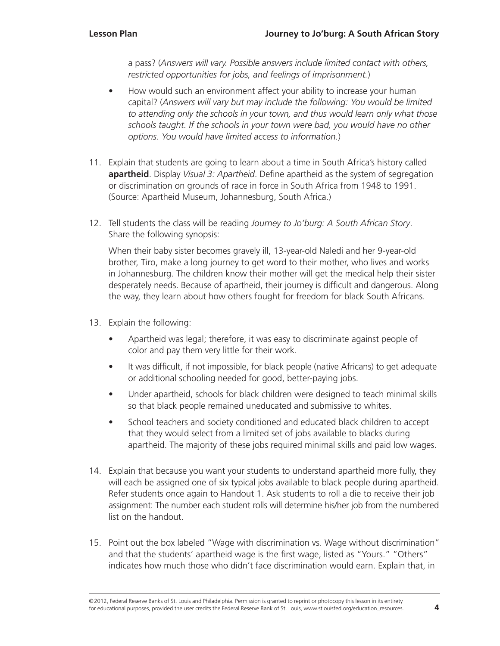a pass? (*Answers will vary. Possible answers include limited contact with others, restricted opportunities for jobs, and feelings of imprisonment.*)

- How would such an environment affect your ability to increase your human capital? (*Answers will vary but may include the following: You would be limited to attending only the schools in your town, and thus would learn only what those schools taught. If the schools in your town were bad, you would have no other options. You would have limited access to information.*)
- 11. Explain that students are going to learn about a time in South Africa's history called **apartheid**. Display *Visual 3: Apartheid*. Define apartheid as the system of segregation or discrimination on grounds of race in force in South Africa from 1948 to 1991. (Source: Apartheid Museum, Johannesburg, South Africa.)
- 12. Tell students the class will be reading *Journey to Jo'burg: A South African Story*. Share the following synopsis:

When their baby sister becomes gravely ill, 13-year-old Naledi and her 9-year-old brother, Tiro, make a long journey to get word to their mother, who lives and works in Johannesburg. The children know their mother will get the medical help their sister desperately needs. Because of apartheid, their journey is difficult and dangerous. Along the way, they learn about how others fought for freedom for black South Africans.

- 13. Explain the following:
	- Apartheid was legal; therefore, it was easy to discriminate against people of color and pay them very little for their work.
	- It was difficult, if not impossible, for black people (native Africans) to get adequate or additional schooling needed for good, better-paying jobs.
	- Under apartheid, schools for black children were designed to teach minimal skills so that black people remained uneducated and submissive to whites.
	- School teachers and society conditioned and educated black children to accept that they would select from a limited set of jobs available to blacks during apartheid. The majority of these jobs required minimal skills and paid low wages.
- 14. Explain that because you want your students to understand apartheid more fully, they will each be assigned one of six typical jobs available to black people during apartheid. Refer students once again to Handout 1. Ask students to roll a die to receive their job assignment: The number each student rolls will determine his/her job from the numbered list on the handout.
- 15. Point out the box labeled "Wage with discrimination vs. Wage without discrimination" and that the students' apartheid wage is the first wage, listed as "Yours." "Others" indicates how much those who didn't face discrimination would earn. Explain that, in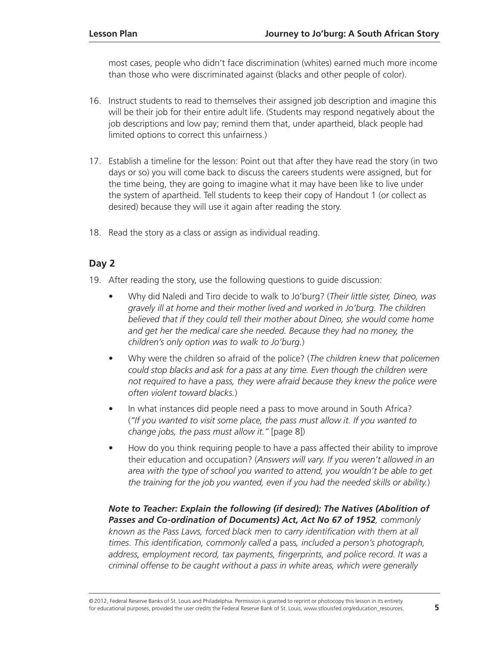most cases, people who didn't face discrimination (whites) earned much more income than those who were discriminated against (blacks and other people of color).

- 16. Instruct students to read to themselves their assigned job description and imagine this will be their job for their entire adult life. (Students may respond negatively about the job descriptions and low pay; remind them that, under apartheid, black people had limited options to correct this unfairness.)
- 17. Establish a timeline for the lesson: Point out that after they have read the story (in two days or so) you will come back to discuss the careers students were assigned, but for the time being, they are going to imagine what it may have been like to live under the system of apartheid. Tell students to keep their copy of Handout 1 (or collect as desired) because they will use it again after reading the story.
- 18. Read the story as a class or assign as individual reading.

#### **Day 2**

- 19. After reading the story, use the following questions to guide discussion:
	- Why did Naledi and Tiro decide to walk to Jo'burg? (*Their little sister, Dineo, was gravely ill at home and their mother lived and worked in Jo'burg. The children believed that if they could tell their mother about Dineo, she would come home and get her the medical care she needed. Because they had no money, the children's only option was to walk to Jo'burg.*)
	- Why were the children so afraid of the police? (*The children knew that policemen could stop blacks and ask for a pass at any time. Even though the children were not required to have a pass, they were afraid because they knew the police were often violent toward blacks.*)
	- In what instances did people need a pass to move around in South Africa? (*"If you wanted to visit some place, the pass must allow it. If you wanted to change jobs, the pass must allow it."* [page 8])
	- How do you think requiring people to have a pass affected their ability to improve their education and occupation? (*Answers will vary. If you weren't allowed in an area with the type of school you wanted to attend, you wouldn't be able to get the training for the job you wanted, even if you had the needed skills or ability.*)

#### *Note to Teacher: Explain the following (if desired): The Natives (Abolition of Passes and Co-ordination of Documents) Act, Act No 67 of 1952, commonly known as the Pass Laws, forced black men to carry identification with them at all times. This identification, commonly called a* pass*, included a person's photograph,*  address, employment record, tax payments, fingerprints, and police record. It was a *criminal offense to be caught without a pass in white areas, which were generally*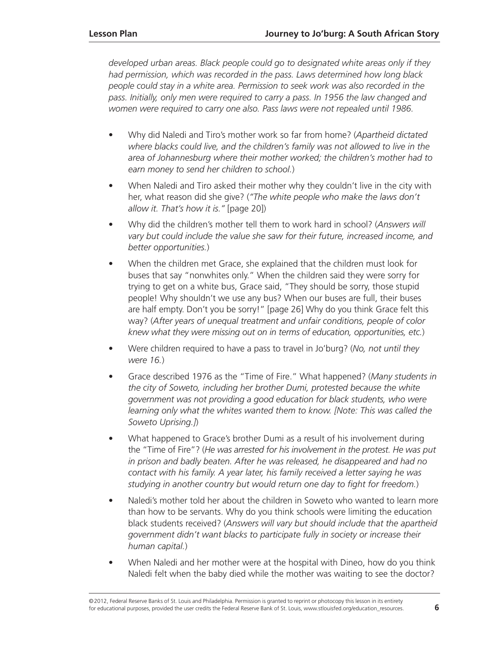*developed urban areas. Black people could go to designated white areas only if they had permission, which was recorded in the pass. Laws determined how long black people could stay in a white area. Permission to seek work was also recorded in the*  pass. Initially, only men were required to carry a pass. In 1956 the law changed and *women were required to carry one also. Pass laws were not repealed until 1986.*

- Why did Naledi and Tiro's mother work so far from home? (*Apartheid dictated where blacks could live, and the children's family was not allowed to live in the area of Johannesburg where their mother worked; the children's mother had to earn money to send her children to school.*)
- When Naledi and Tiro asked their mother why they couldn't live in the city with her, what reason did she give? (*"The white people who make the laws don't allow it. That's how it is."* [page 20])
- Why did the children's mother tell them to work hard in school? (*Answers will vary but could include the value she saw for their future, increased income, and better opportunities.*)
- When the children met Grace, she explained that the children must look for buses that say "nonwhites only." When the children said they were sorry for trying to get on a white bus, Grace said, "They should be sorry, those stupid people! Why shouldn't we use any bus? When our buses are full, their buses are half empty. Don't you be sorry!" [page 26] Why do you think Grace felt this way? (*After years of unequal treatment and unfair conditions, people of color knew what they were missing out on in terms of education, opportunities, etc.*)
- Were children required to have a pass to travel in Jo'burg? (*No, not until they were 16.*)
- Grace described 1976 as the "Time of Fire." What happened? (*Many students in the city of Soweto, including her brother Dumi, protested because the white government was not providing a good education for black students, who were learning only what the whites wanted them to know. [Note: This was called the Soweto Uprising.]*)
- What happened to Grace's brother Dumi as a result of his involvement during the "Time of Fire"? (*He was arrested for his involvement in the protest. He was put in prison and badly beaten. After he was released, he disappeared and had no contact with his family. A year later, his family received a letter saying he was studying in another country but would return one day to fight for freedom.*)
- Naledi's mother told her about the children in Soweto who wanted to learn more than how to be servants. Why do you think schools were limiting the education black students received? (*Answers will vary but should include that the apartheid government didn't want blacks to participate fully in society or increase their human capital.*)
- When Naledi and her mother were at the hospital with Dineo, how do you think Naledi felt when the baby died while the mother was waiting to see the doctor?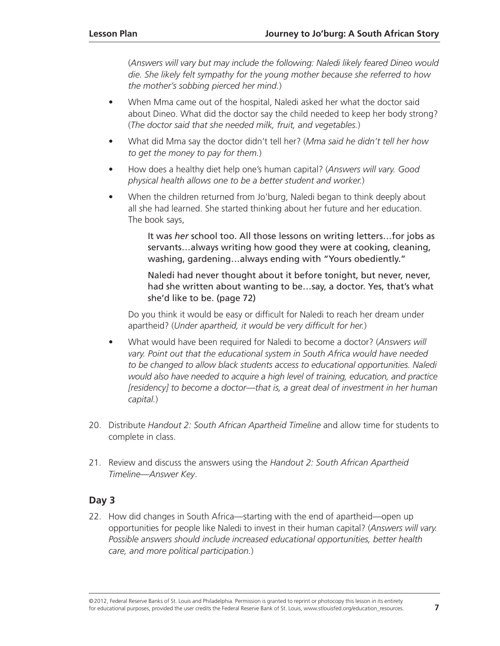(*Answers will vary but may include the following: Naledi likely feared Dineo would die. She likely felt sympathy for the young mother because she referred to how the mother's sobbing pierced her mind.*)

- When Mma came out of the hospital, Naledi asked her what the doctor said about Dineo. What did the doctor say the child needed to keep her body strong? (*The doctor said that she needed milk, fruit, and vegetables.*)
- What did Mma say the doctor didn't tell her? (*Mma said he didn't tell her how to get the money to pay for them.*)
- How does a healthy diet help one's human capital? (*Answers will vary. Good physical health allows one to be a better student and worker.*)
- When the children returned from Jo'burg, Naledi began to think deeply about all she had learned. She started thinking about her future and her education. The book says,

It was *her* school too. All those lessons on writing letters…for jobs as servants…always writing how good they were at cooking, cleaning, washing, gardening…always ending with "Yours obediently."

Naledi had never thought about it before tonight, but never, never, had she written about wanting to be…say, a doctor. Yes, that's what she'd like to be. (page 72)

Do you think it would be easy or difficult for Naledi to reach her dream under apartheid? (*Under apartheid, it would be very difficult for her.*)

- What would have been required for Naledi to become a doctor? (*Answers will vary. Point out that the educational system in South Africa would have needed to be changed to allow black students access to educational opportunities. Naledi would also have needed to acquire a high level of training, education, and practice [residency] to become a doctor—that is, a great deal of investment in her human capital.*)
- 20. Distribute *Handout 2: South African Apartheid Timeline* and allow time for students to complete in class.
- 21. Review and discuss the answers using the *Handout 2: South African Apartheid Timeline—Answer Key*.

#### **Day 3**

22. How did changes in South Africa—starting with the end of apartheid—open up opportunities for people like Naledi to invest in their human capital? (*Answers will vary. Possible answers should include increased educational opportunities, better health care, and more political participation.*)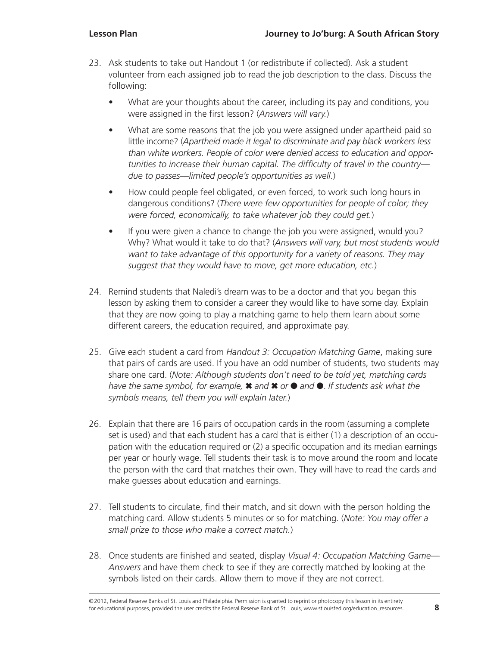- 23. Ask students to take out Handout 1 (or redistribute if collected). Ask a student volunteer from each assigned job to read the job description to the class. Discuss the following:
	- What are your thoughts about the career, including its pay and conditions, you were assigned in the first lesson? (*Answers will vary.*)
	- What are some reasons that the job you were assigned under apartheid paid so little income? (*Apartheid made it legal to discriminate and pay black workers less than white workers. People of color were denied access to education and opportunities to increase their human capital. The difficulty of travel in the country due to passes—limited people's opportunities as well.*)
	- How could people feel obligated, or even forced, to work such long hours in dangerous conditions? (*There were few opportunities for people of color; they were forced, economically, to take whatever job they could get.*)
	- If you were given a chance to change the job you were assigned, would you? Why? What would it take to do that? (*Answers will vary, but most students would want to take advantage of this opportunity for a variety of reasons. They may suggest that they would have to move, get more education, etc.*)
- 24. Remind students that Naledi's dream was to be a doctor and that you began this lesson by asking them to consider a career they would like to have some day. Explain that they are now going to play a matching game to help them learn about some different careers, the education required, and approximate pay.
- 25. Give each student a card from *Handout 3: Occupation Matching Game*, making sure that pairs of cards are used. If you have an odd number of students, two students may share one card. (*Note: Although students don't need to be told yet, matching cards have the same symbol, for example,* ✖ *and* ✖ *or* ● *and* ●. *If students ask what the symbols means, tell them you will explain later.*)
- 26. Explain that there are 16 pairs of occupation cards in the room (assuming a complete set is used) and that each student has a card that is either (1) a description of an occupation with the education required or (2) a specific occupation and its median earnings per year or hourly wage. Tell students their task is to move around the room and locate the person with the card that matches their own. They will have to read the cards and make guesses about education and earnings.
- 27. Tell students to circulate, find their match, and sit down with the person holding the matching card. Allow students 5 minutes or so for matching. (*Note: You may offer a small prize to those who make a correct match.*)
- 28. Once students are finished and seated, display *Visual 4: Occupation Matching Game— Answers* and have them check to see if they are correctly matched by looking at the symbols listed on their cards. Allow them to move if they are not correct.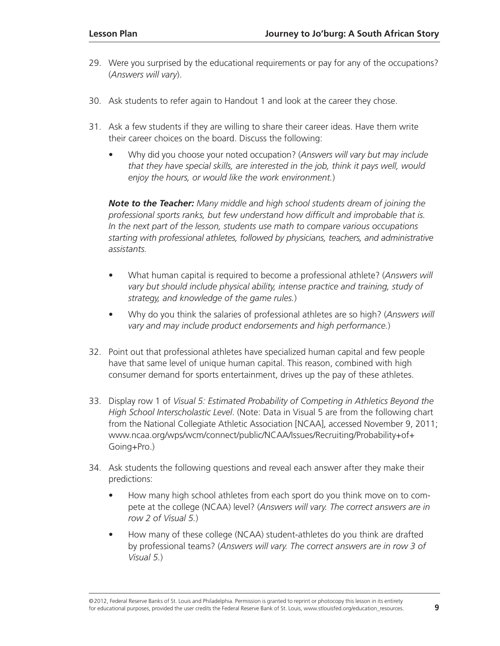- 29. Were you surprised by the educational requirements or pay for any of the occupations? (*Answers will vary*).
- 30. Ask students to refer again to Handout 1 and look at the career they chose.
- 31. Ask a few students if they are willing to share their career ideas. Have them write their career choices on the board. Discuss the following:
	- Why did you choose your noted occupation? (*Answers will vary but may include that they have special skills, are interested in the job, think it pays well, would enjoy the hours, or would like the work environment.*)

*Note to the Teacher: Many middle and high school students dream of joining the professional sports ranks, but few understand how difficult and improbable that is. In the next part of the lesson, students use math to compare various occupations starting with professional athletes, followed by physicians, teachers, and administrative assistants.*

- What human capital is required to become a professional athlete? (*Answers will vary but should include physical ability, intense practice and training, study of strategy, and knowledge of the game rules.*)
- Why do you think the salaries of professional athletes are so high? (*Answers will vary and may include product endorsements and high performance.*)
- 32. Point out that professional athletes have specialized human capital and few people have that same level of unique human capital. This reason, combined with high consumer demand for sports entertainment, drives up the pay of these athletes.
- 33. Display row 1 of *Visual 5: Estimated Probability of Competing in Athletics Beyond the High School Interscholastic Level*. (Note: Data in Visual 5 are from the following chart from the National Collegiate Athletic Association [NCAA], accessed November 9, 2011; [www.ncaa.org/wps/wcm/connect/public/NCAA/Issues/Recruiting/Probability+of+](http://www.ncaa.org/wps/wcm/connect/public/NCAA/Issues/Recruiting/Probability+of+Going+Pro) [Going+Pro.](http://www.ncaa.org/wps/wcm/connect/public/NCAA/Issues/Recruiting/Probability+of+Going+Pro))
- 34. Ask students the following questions and reveal each answer after they make their predictions:
	- How many high school athletes from each sport do you think move on to compete at the college (NCAA) level? (*Answers will vary. The correct answers are in row 2 of Visual 5.*)
	- How many of these college (NCAA) student-athletes do you think are drafted by professional teams? (*Answers will vary. The correct answers are in row 3 of Visual 5.*)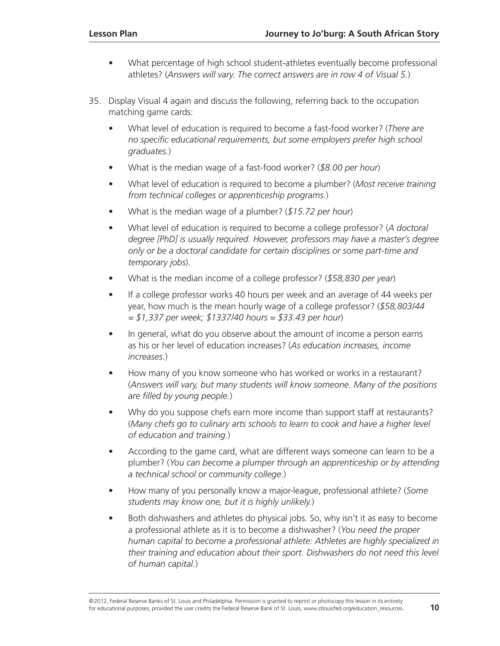- What percentage of high school student-athletes eventually become professional athletes? (*Answers will vary. The correct answers are in row 4 of Visual 5.*)
- 35. Display Visual 4 again and discuss the following, referring back to the occupation matching game cards:
	- What level of education is required to become a fast-food worker? (*There are no specific educational requirements, but some employers prefer high school graduates.*)
	- What is the median wage of a fast-food worker? (*\$8.00 per hour*)
	- What level of education is required to become a plumber? (*Most receive training from technical colleges or apprenticeship programs.*)
	- What is the median wage of a plumber? (*\$15.72 per hour*)
	- What level of education is required to become a college professor? (*A doctoral degree [PhD] is usually required. However, professors may have a master's degree only or be a doctoral candidate for certain disciplines or some part-time and temporary jobs*).
	- What is the median income of a college professor? (*\$58,830 per year*)
	- If a college professor works 40 hours per week and an average of 44 weeks per year, how much is the mean hourly wage of a college professor? (*\$58,803/44 = \$1,337 per week; \$1337/40 hours = \$33.43 per hour*)
	- In general, what do you observe about the amount of income a person earns as his or her level of education increases? (*As education increases, income increases.*)
	- How many of you know someone who has worked or works in a restaurant? (*Answers will vary, but many students will know someone. Many of the positions are filled by young people.*)
	- Why do you suppose chefs earn more income than support staff at restaurants? (*Many chefs go to culinary arts schools to learn to cook and have a higher level of education and training.*)
	- According to the game card, what are different ways someone can learn to be a plumber? (*You can become a plumper through an apprenticeship or by attending a technical school or community college.*)
	- How many of you personally know a major-league, professional athlete? (*Some students may know one, but it is highly unlikely.*)
	- Both dishwashers and athletes do physical jobs. So, why isn't it as easy to become a professional athlete as it is to become a dishwasher? (*You need the proper human capital to become a professional athlete: Athletes are highly specialized in their training and education about their sport. Dishwashers do not need this level of human capital.*)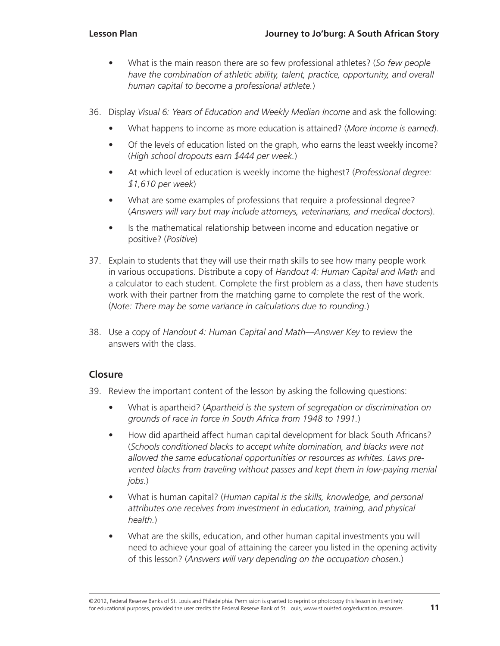- What is the main reason there are so few professional athletes? (*So few people have the combination of athletic ability, talent, practice, opportunity, and overall human capital to become a professional athlete.*)
- 36. Display *Visual 6: Years of Education and Weekly Median Income* and ask the following:
	- What happens to income as more education is attained? (*More income is earned*).
	- Of the levels of education listed on the graph, who earns the least weekly income? (*High school dropouts earn \$444 per week.*)
	- At which level of education is weekly income the highest? (*Professional degree: \$1,610 per week*)
	- What are some examples of professions that require a professional degree? (*Answers will vary but may include attorneys, veterinarians, and medical doctors*).
	- Is the mathematical relationship between income and education negative or positive? (*Positive*)
- 37. Explain to students that they will use their math skills to see how many people work in various occupations. Distribute a copy of *Handout 4: Human Capital and Math* and a calculator to each student. Complete the first problem as a class, then have students work with their partner from the matching game to complete the rest of the work. (*Note: There may be some variance in calculations due to rounding.*)
- 38. Use a copy of *Handout 4: Human Capital and Math—Answer Key* to review the answers with the class.

#### **Closure**

- 39. Review the important content of the lesson by asking the following questions:
	- What is apartheid? (*Apartheid is the system of segregation or discrimination on grounds of race in force in South Africa from 1948 to 1991.*)
	- How did apartheid affect human capital development for black South Africans? (*Schools conditioned blacks to accept white domination, and blacks were not allowed the same educational opportunities or resources as whites. Laws prevented blacks from traveling without passes and kept them in low-paying menial jobs.*)
	- What is human capital? (*Human capital is the skills, knowledge, and personal attributes one receives from investment in education, training, and physical health.*)
	- What are the skills, education, and other human capital investments you will need to achieve your goal of attaining the career you listed in the opening activity of this lesson? (*Answers will vary depending on the occupation chosen.*)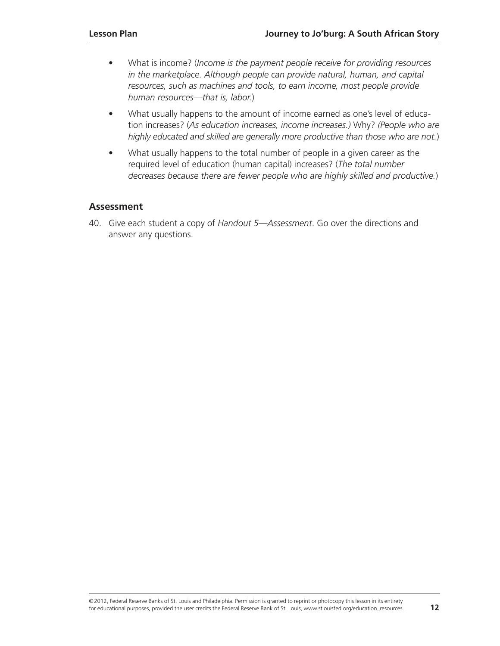- What is income? (*Income is the payment people receive for providing resources in the marketplace. Although people can provide natural, human, and capital resources, such as machines and tools, to earn income, most people provide human resources—that is, labor.*)
- What usually happens to the amount of income earned as one's level of education increases? (*As education increases, income increases.)* Why? *(People who are highly educated and skilled are generally more productive than those who are not.*)
- What usually happens to the total number of people in a given career as the required level of education (human capital) increases? (*The total number decreases because there are fewer people who are highly skilled and productive.*)

#### **Assessment**

40. Give each student a copy of *Handout 5—Assessment*. Go over the directions and answer any questions.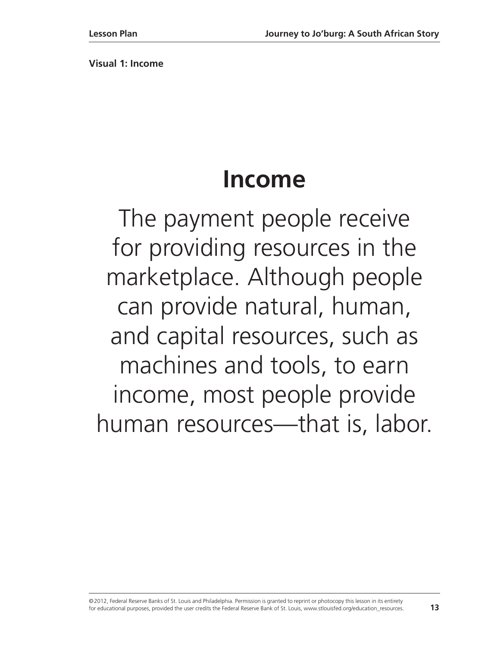**Visual 1: Income** 

# **Income**

The payment people receive for providing resources in the marketplace. Although people can provide natural, human, and capital resources, such as machines and tools, to earn income, most people provide human resources—that is, labor.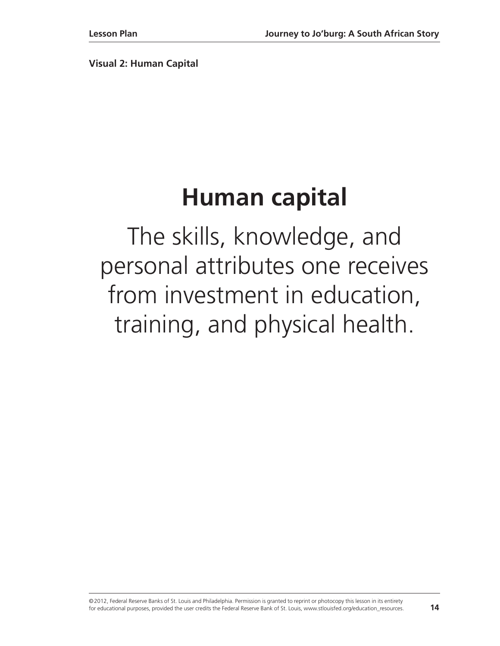**Visual 2: Human Capital**

# **Human capital**

The skills, knowledge, and personal attributes one receives from investment in education, training, and physical health.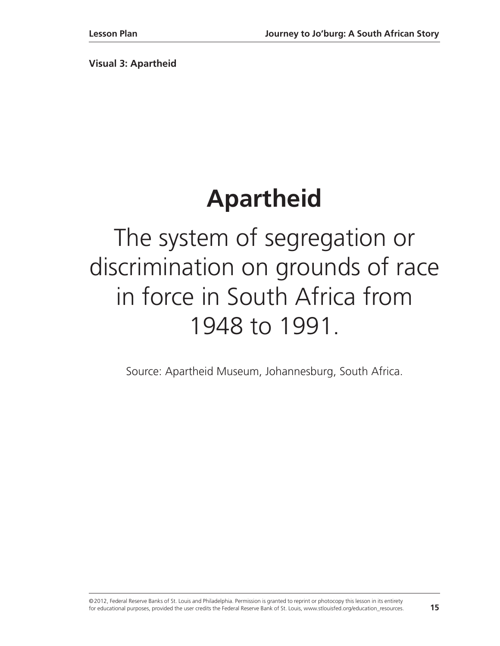**Visual 3: Apartheid** 

# **Apartheid**

The system of segregation or discrimination on grounds of race in force in South Africa from 1948 to 1991.

Source: Apartheid Museum, Johannesburg, South Africa.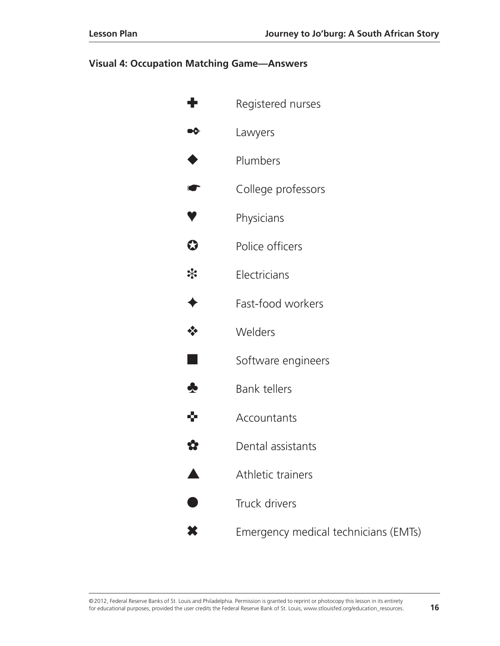#### **Visual 4: Occupation Matching Game—Answers**

|         | Registered nurses                    |
|---------|--------------------------------------|
| ∾⊱      | Lawyers                              |
|         | Plumbers                             |
| G       | College professors                   |
|         | Physicians                           |
| $\bf G$ | Police officers                      |
| *       | Electricians                         |
|         | Fast-food workers                    |
|         | Welders                              |
|         | Software engineers                   |
| ♣       | <b>Bank tellers</b>                  |
| 9.      | Accountants                          |
|         | Dental assistants                    |
|         | Athletic trainers                    |
|         | Truck drivers                        |
|         | Emergency medical technicians (EMTs) |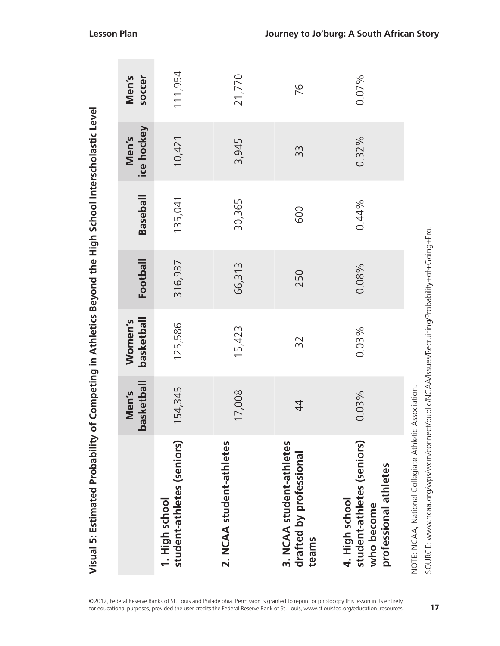| <b>SAN 2011-11-12</b>                         |
|-----------------------------------------------|
|                                               |
|                                               |
|                                               |
|                                               |
|                                               |
| - AAAAHA LATOrcorc                            |
|                                               |
|                                               |
|                                               |
| J                                             |
|                                               |
|                                               |
|                                               |
|                                               |
|                                               |
| of Competing in Athletics Beyond the High Sch |
|                                               |
|                                               |
|                                               |
|                                               |
|                                               |
|                                               |
|                                               |
|                                               |
|                                               |
|                                               |
|                                               |
|                                               |
| $\frac{1}{2}$                                 |
| õ                                             |
|                                               |
|                                               |
|                                               |
|                                               |
|                                               |
|                                               |
|                                               |
|                                               |
|                                               |
|                                               |

| Visual 5: Estimated Probability of                                                                                                                    |                     |                       |          | Competing in Athletics Beyond the High School Interscholastic Level |                     |                 |  |
|-------------------------------------------------------------------------------------------------------------------------------------------------------|---------------------|-----------------------|----------|---------------------------------------------------------------------|---------------------|-----------------|--|
|                                                                                                                                                       | basketball<br>Men's | basketball<br>Women's | Football | <b>Baseball</b>                                                     | ice hockey<br>Men's | soccer<br>Men's |  |
| student-athletes (seniors)<br>1. High school                                                                                                          | 54,345              | 125,586               | 316,937  | 135,041                                                             | 10,421              | 111,954         |  |
| 2. NCAA student-athletes                                                                                                                              | 7,008               | 15,423                | 66,313   | 30,365                                                              | 3,945               | 21,770          |  |
| 3. NCAA student-athletes<br>drafted by professional<br>teams                                                                                          | $\ddot{4}$          | 32                    | 250      | 600                                                                 | 33                  | 76              |  |
| student-athletes (seniors)<br>professional athletes<br>4. High school<br>who become                                                                   | 0.03%               | 0.03%                 | 0.08%    | 0.44%                                                               | 0.32%               | 0.07%           |  |
| SOURCE: www.ncaa.org/wps/wcm/connect/public/NCAA/Issues/Recruiting/Probability+of+Going+Pro.<br>NOTE: NCAA, National Collegiate Athletic Association. |                     |                       |          |                                                                     |                     |                 |  |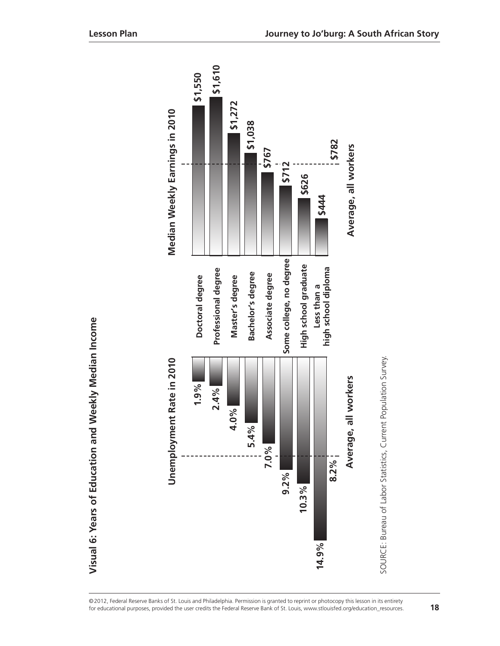|                  | Unemployment Rate in 2010 |                                    | Median Weekly Earnings in 2010 |
|------------------|---------------------------|------------------------------------|--------------------------------|
|                  | 1.9%                      | Doctoral degree                    | \$1,550                        |
|                  | 2.4%                      | Professional degree                | \$1,610                        |
|                  | 4.0%                      | Master's degree                    | \$1,272                        |
|                  | 5.4%                      | Bachelor's degree                  | \$1,038                        |
| 7.0%             |                           | Associate degree                   | \$767                          |
| 9.2%             |                           | Some college, no degree            | \$712                          |
| 10.3%            |                           | High school graduate               | \$626                          |
| $8.2\%$<br>14.9% |                           | high school diploma<br>Less than a | \$782<br>\$444                 |
|                  | all workers<br>Average,   |                                    | Average, all workers           |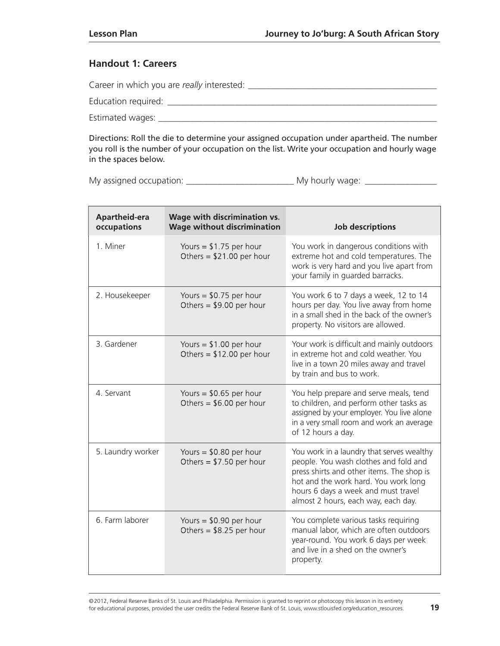#### **Handout 1: Careers**

| Career in which you are really interested: |
|--------------------------------------------|
| Education required:                        |
| Estimated wages:                           |

Directions: Roll the die to determine your assigned occupation under apartheid. The number you roll is the number of your occupation on the list. Write your occupation and hourly wage in the spaces below.

My assigned occupation: \_\_\_\_\_\_\_\_\_\_\_\_\_\_\_\_\_\_\_\_\_\_\_\_ My hourly wage: \_\_\_\_\_\_\_\_\_\_\_\_\_\_\_\_

| <b>Apartheid-era</b><br>occupations | Wage with discrimination vs.<br><b>Wage without discrimination</b> | <b>Job descriptions</b>                                                                                                                                                                                                                               |
|-------------------------------------|--------------------------------------------------------------------|-------------------------------------------------------------------------------------------------------------------------------------------------------------------------------------------------------------------------------------------------------|
| 1. Miner                            | Yours = $$1.75$ per hour<br>Others = $$21.00$ per hour             | You work in dangerous conditions with<br>extreme hot and cold temperatures. The<br>work is very hard and you live apart from<br>your family in guarded barracks.                                                                                      |
| 2. Housekeeper                      | Yours = $$0.75$ per hour<br>Others = $$9.00$ per hour              | You work 6 to 7 days a week, 12 to 14<br>hours per day. You live away from home<br>in a small shed in the back of the owner's<br>property. No visitors are allowed.                                                                                   |
| 3. Gardener                         | Yours = $$1.00$ per hour<br>Others = $$12.00$ per hour             | Your work is difficult and mainly outdoors<br>in extreme hot and cold weather. You<br>live in a town 20 miles away and travel<br>by train and bus to work.                                                                                            |
| 4. Servant                          | Yours = $$0.65$ per hour<br>Others = $$6.00$ per hour              | You help prepare and serve meals, tend<br>to children, and perform other tasks as<br>assigned by your employer. You live alone<br>in a very small room and work an average<br>of 12 hours a day.                                                      |
| 5. Laundry worker                   | Yours = $$0.80$ per hour<br>Others = $$7.50$ per hour              | You work in a laundry that serves wealthy<br>people. You wash clothes and fold and<br>press shirts and other items. The shop is<br>hot and the work hard. You work long<br>hours 6 days a week and must travel<br>almost 2 hours, each way, each day. |
| 6. Farm laborer                     | Yours = $$0.90$ per hour<br>Others = $$8.25$ per hour              | You complete various tasks requiring<br>manual labor, which are often outdoors<br>year-round. You work 6 days per week<br>and live in a shed on the owner's<br>property.                                                                              |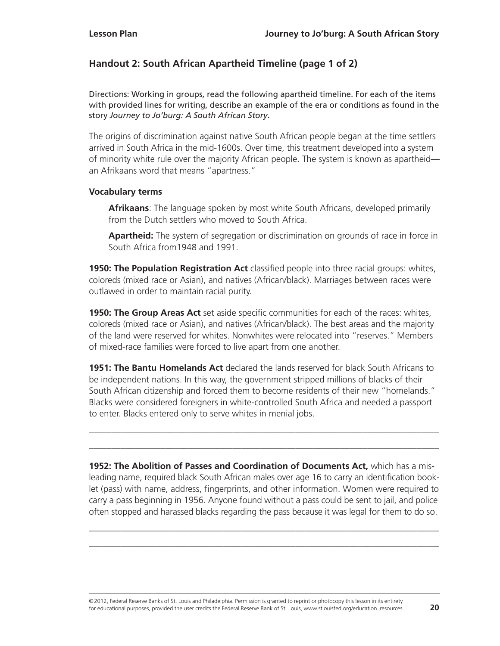#### **Handout 2: South African Apartheid Timeline (page 1 of 2)**

Directions: Working in groups, read the following apartheid timeline. For each of the items with provided lines for writing, describe an example of the era or conditions as found in the story *Journey to Jo'burg: A South African Story*.

The origins of discrimination against native South African people began at the time settlers arrived in South Africa in the mid-1600s. Over time, this treatment developed into a system of minority white rule over the majority African people. The system is known as apartheid an Afrikaans word that means "apartness."

#### **Vocabulary terms**

**Afrikaans**: The language spoken by most white South Africans, developed primarily from the Dutch settlers who moved to South Africa.

**Apartheid:** The system of segregation or discrimination on grounds of race in force in South Africa from1948 and 1991.

**1950: The Population Registration Act** classified people into three racial groups: whites, coloreds (mixed race or Asian), and natives (African/black). Marriages between races were outlawed in order to maintain racial purity.

**1950: The Group Areas Act** set aside specific communities for each of the races: whites, coloreds (mixed race or Asian), and natives (African/black). The best areas and the majority of the land were reserved for whites. Nonwhites were relocated into "reserves." Members of mixed-race families were forced to live apart from one another.

**1951: The Bantu Homelands Act** declared the lands reserved for black South Africans to be independent nations. In this way, the government stripped millions of blacks of their South African citizenship and forced them to become residents of their new "homelands." Blacks were considered foreigners in white-controlled South Africa and needed a passport to enter. Blacks entered only to serve whites in menial jobs.

\_\_\_\_\_\_\_\_\_\_\_\_\_\_\_\_\_\_\_\_\_\_\_\_\_\_\_\_\_\_\_\_\_\_\_\_\_\_\_\_\_\_\_\_\_\_\_\_\_\_\_\_\_\_\_\_\_\_\_\_\_\_\_\_\_\_\_\_\_\_\_\_\_\_\_\_\_\_ \_\_\_\_\_\_\_\_\_\_\_\_\_\_\_\_\_\_\_\_\_\_\_\_\_\_\_\_\_\_\_\_\_\_\_\_\_\_\_\_\_\_\_\_\_\_\_\_\_\_\_\_\_\_\_\_\_\_\_\_\_\_\_\_\_\_\_\_\_\_\_\_\_\_\_\_\_\_

**1952: The Abolition of Passes and Coordination of Documents Act,** which has a misleading name, required black South African males over age 16 to carry an identification booklet (pass) with name, address, fingerprints, and other information. Women were required to carry a pass beginning in 1956. Anyone found without a pass could be sent to jail, and police often stopped and harassed blacks regarding the pass because it was legal for them to do so.

\_\_\_\_\_\_\_\_\_\_\_\_\_\_\_\_\_\_\_\_\_\_\_\_\_\_\_\_\_\_\_\_\_\_\_\_\_\_\_\_\_\_\_\_\_\_\_\_\_\_\_\_\_\_\_\_\_\_\_\_\_\_\_\_\_\_\_\_\_\_\_\_\_\_\_\_\_\_ \_\_\_\_\_\_\_\_\_\_\_\_\_\_\_\_\_\_\_\_\_\_\_\_\_\_\_\_\_\_\_\_\_\_\_\_\_\_\_\_\_\_\_\_\_\_\_\_\_\_\_\_\_\_\_\_\_\_\_\_\_\_\_\_\_\_\_\_\_\_\_\_\_\_\_\_\_\_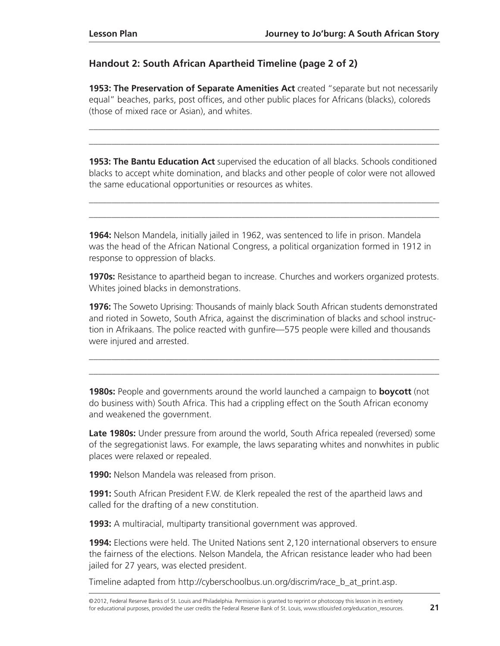#### **Handout 2: South African Apartheid Timeline (page 2 of 2)**

**1953: The Preservation of Separate Amenities Act** created "separate but not necessarily equal" beaches, parks, post offices, and other public places for Africans (blacks), coloreds (those of mixed race or Asian), and whites.

\_\_\_\_\_\_\_\_\_\_\_\_\_\_\_\_\_\_\_\_\_\_\_\_\_\_\_\_\_\_\_\_\_\_\_\_\_\_\_\_\_\_\_\_\_\_\_\_\_\_\_\_\_\_\_\_\_\_\_\_\_\_\_\_\_\_\_\_\_\_\_\_\_\_\_\_\_\_ \_\_\_\_\_\_\_\_\_\_\_\_\_\_\_\_\_\_\_\_\_\_\_\_\_\_\_\_\_\_\_\_\_\_\_\_\_\_\_\_\_\_\_\_\_\_\_\_\_\_\_\_\_\_\_\_\_\_\_\_\_\_\_\_\_\_\_\_\_\_\_\_\_\_\_\_\_\_

**1953: The Bantu Education Act** supervised the education of all blacks. Schools conditioned blacks to accept white domination, and blacks and other people of color were not allowed the same educational opportunities or resources as whites.

\_\_\_\_\_\_\_\_\_\_\_\_\_\_\_\_\_\_\_\_\_\_\_\_\_\_\_\_\_\_\_\_\_\_\_\_\_\_\_\_\_\_\_\_\_\_\_\_\_\_\_\_\_\_\_\_\_\_\_\_\_\_\_\_\_\_\_\_\_\_\_\_\_\_\_\_\_\_ \_\_\_\_\_\_\_\_\_\_\_\_\_\_\_\_\_\_\_\_\_\_\_\_\_\_\_\_\_\_\_\_\_\_\_\_\_\_\_\_\_\_\_\_\_\_\_\_\_\_\_\_\_\_\_\_\_\_\_\_\_\_\_\_\_\_\_\_\_\_\_\_\_\_\_\_\_\_

**1964:** Nelson Mandela, initially jailed in 1962, was sentenced to life in prison. Mandela was the head of the African National Congress, a political organization formed in 1912 in response to oppression of blacks.

**1970s:** Resistance to apartheid began to increase. Churches and workers organized protests. Whites joined blacks in demonstrations.

**1976:** The Soweto Uprising: Thousands of mainly black South African students demonstrated and rioted in Soweto, South Africa, against the discrimination of blacks and school instruction in Afrikaans. The police reacted with gunfire—575 people were killed and thousands were injured and arrested.

\_\_\_\_\_\_\_\_\_\_\_\_\_\_\_\_\_\_\_\_\_\_\_\_\_\_\_\_\_\_\_\_\_\_\_\_\_\_\_\_\_\_\_\_\_\_\_\_\_\_\_\_\_\_\_\_\_\_\_\_\_\_\_\_\_\_\_\_\_\_\_\_\_\_\_\_\_\_ \_\_\_\_\_\_\_\_\_\_\_\_\_\_\_\_\_\_\_\_\_\_\_\_\_\_\_\_\_\_\_\_\_\_\_\_\_\_\_\_\_\_\_\_\_\_\_\_\_\_\_\_\_\_\_\_\_\_\_\_\_\_\_\_\_\_\_\_\_\_\_\_\_\_\_\_\_\_

**1980s:** People and governments around the world launched a campaign to **boycott** (not do business with) South Africa. This had a crippling effect on the South African economy and weakened the government.

**Late 1980s:** Under pressure from around the world, South Africa repealed (reversed) some of the segregationist laws. For example, the laws separating whites and nonwhites in public places were relaxed or repealed.

**1990:** Nelson Mandela was released from prison.

**1991:** South African President F.W. de Klerk repealed the rest of the apartheid laws and called for the drafting of a new constitution.

**1993:** A multiracial, multiparty transitional government was approved.

**1994:** Elections were held. The United Nations sent 2,120 international observers to ensure the fairness of the elections. Nelson Mandela, the African resistance leader who had been jailed for 27 years, was elected president.

Timeline adapted from [http://cyberschoolbus.un.org/discrim/race\\_b\\_at\\_print.asp.](http://cyberschoolbus.un.org/discrim/race_b_at_print.asp)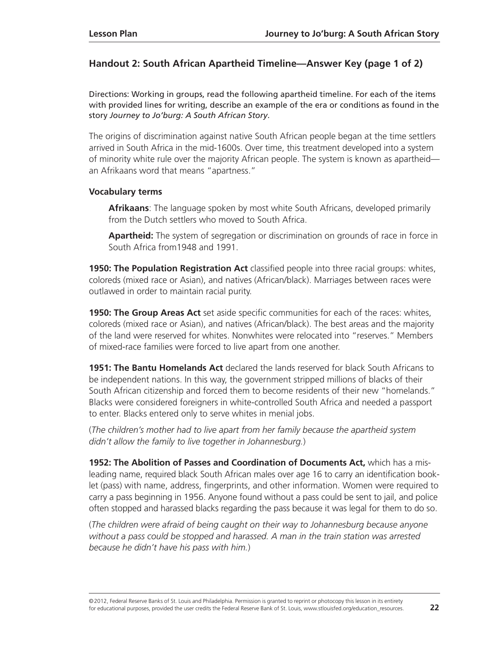#### **Handout 2: South African Apartheid Timeline—Answer Key (page 1 of 2)**

Directions: Working in groups, read the following apartheid timeline. For each of the items with provided lines for writing, describe an example of the era or conditions as found in the story *Journey to Jo'burg: A South African Story*.

The origins of discrimination against native South African people began at the time settlers arrived in South Africa in the mid-1600s. Over time, this treatment developed into a system of minority white rule over the majority African people. The system is known as apartheid an Afrikaans word that means "apartness."

#### **Vocabulary terms**

**Afrikaans**: The language spoken by most white South Africans, developed primarily from the Dutch settlers who moved to South Africa.

**Apartheid:** The system of segregation or discrimination on grounds of race in force in South Africa from1948 and 1991.

**1950: The Population Registration Act** classified people into three racial groups: whites, coloreds (mixed race or Asian), and natives (African/black). Marriages between races were outlawed in order to maintain racial purity.

**1950: The Group Areas Act** set aside specific communities for each of the races: whites, coloreds (mixed race or Asian), and natives (African/black). The best areas and the majority of the land were reserved for whites. Nonwhites were relocated into "reserves." Members of mixed-race families were forced to live apart from one another.

**1951: The Bantu Homelands Act** declared the lands reserved for black South Africans to be independent nations. In this way, the government stripped millions of blacks of their South African citizenship and forced them to become residents of their new "homelands." Blacks were considered foreigners in white-controlled South Africa and needed a passport to enter. Blacks entered only to serve whites in menial jobs.

(*The children's mother had to live apart from her family because the apartheid system didn't allow the family to live together in Johannesburg.*)

**1952: The Abolition of Passes and Coordination of Documents Act,** which has a misleading name, required black South African males over age 16 to carry an identification booklet (pass) with name, address, fingerprints, and other information. Women were required to carry a pass beginning in 1956. Anyone found without a pass could be sent to jail, and police often stopped and harassed blacks regarding the pass because it was legal for them to do so.

(*The children were afraid of being caught on their way to Johannesburg because anyone without a pass could be stopped and harassed. A man in the train station was arrested because he didn't have his pass with him.*)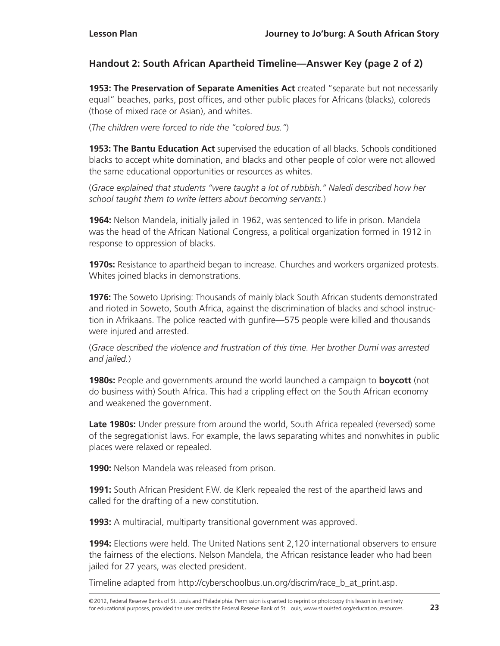#### **Handout 2: South African Apartheid Timeline—Answer Key (page 2 of 2)**

**1953: The Preservation of Separate Amenities Act** created "separate but not necessarily equal" beaches, parks, post offices, and other public places for Africans (blacks), coloreds (those of mixed race or Asian), and whites.

(*The children were forced to ride the "colored bus."*)

**1953: The Bantu Education Act** supervised the education of all blacks. Schools conditioned blacks to accept white domination, and blacks and other people of color were not allowed the same educational opportunities or resources as whites.

(*Grace explained that students "were taught a lot of rubbish." Naledi described how her school taught them to write letters about becoming servants.*)

**1964:** Nelson Mandela, initially jailed in 1962, was sentenced to life in prison. Mandela was the head of the African National Congress, a political organization formed in 1912 in response to oppression of blacks.

**1970s:** Resistance to apartheid began to increase. Churches and workers organized protests. Whites joined blacks in demonstrations.

**1976:** The Soweto Uprising: Thousands of mainly black South African students demonstrated and rioted in Soweto, South Africa, against the discrimination of blacks and school instruction in Afrikaans. The police reacted with gunfire—575 people were killed and thousands were injured and arrested.

(*Grace described the violence and frustration of this time. Her brother Dumi was arrested and jailed.*)

**1980s:** People and governments around the world launched a campaign to **boycott** (not do business with) South Africa. This had a crippling effect on the South African economy and weakened the government.

**Late 1980s:** Under pressure from around the world, South Africa repealed (reversed) some of the segregationist laws. For example, the laws separating whites and nonwhites in public places were relaxed or repealed.

**1990:** Nelson Mandela was released from prison.

**1991:** South African President F.W. de Klerk repealed the rest of the apartheid laws and called for the drafting of a new constitution.

**1993:** A multiracial, multiparty transitional government was approved.

**1994:** Elections were held. The United Nations sent 2,120 international observers to ensure the fairness of the elections. Nelson Mandela, the African resistance leader who had been jailed for 27 years, was elected president.

Timeline adapted from [http://cyberschoolbus.un.org/discrim/race\\_b\\_at\\_print.asp.](http://cyberschoolbus.un.org/discrim/race_b_at_print.asp)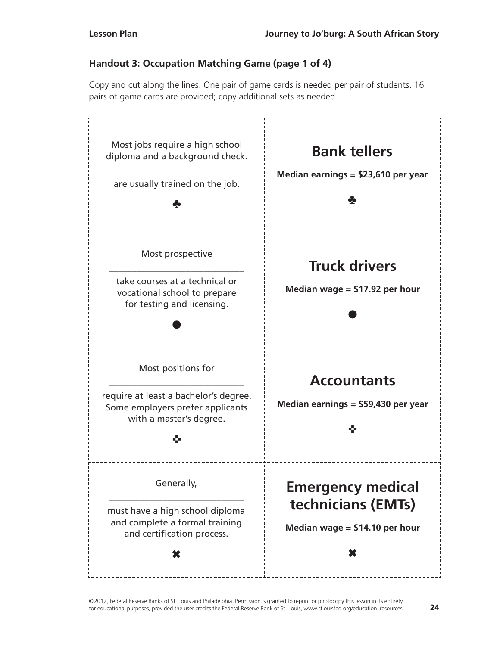## **Handout 3: Occupation Matching Game (page 1 of 4)**

Copy and cut along the lines. One pair of game cards is needed per pair of students. 16 pairs of game cards are provided; copy additional sets as needed.

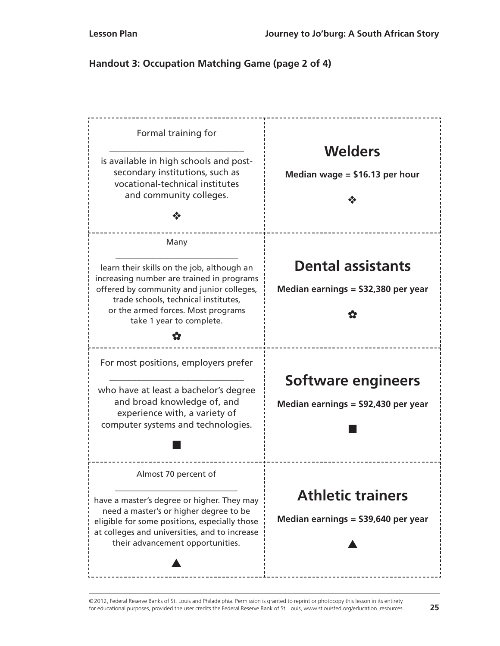#### **Handout 3: Occupation Matching Game (page 2 of 4)**

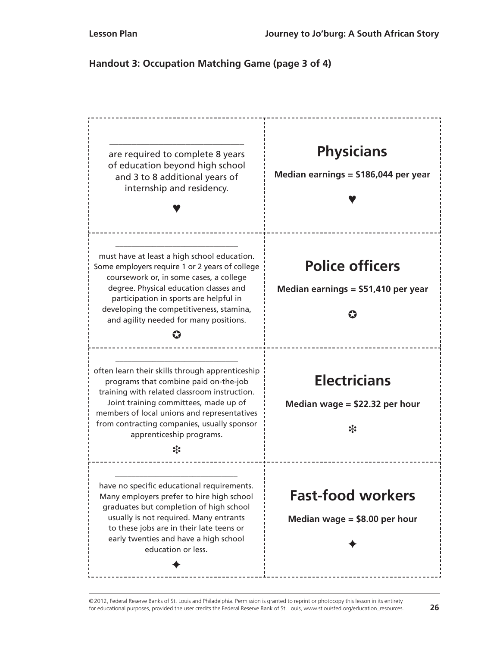#### **Handout 3: Occupation Matching Game (page 3 of 4)**

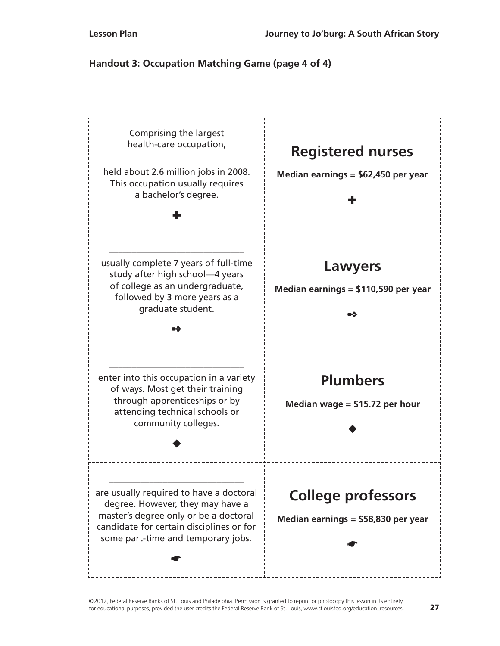#### **Handout 3: Occupation Matching Game (page 4 of 4)**

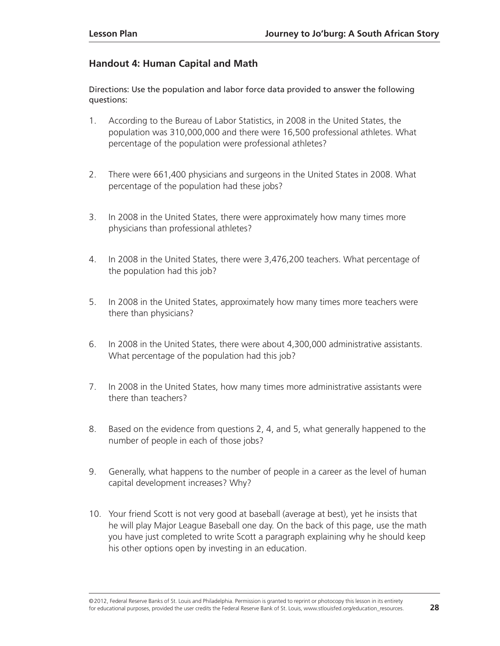#### **Handout 4: Human Capital and Math**

Directions: Use the population and labor force data provided to answer the following questions:

- 1. According to the Bureau of Labor Statistics, in 2008 in the United States, the population was 310,000,000 and there were 16,500 professional athletes. What percentage of the population were professional athletes?
- 2. There were 661,400 physicians and surgeons in the United States in 2008. What percentage of the population had these jobs?
- 3. In 2008 in the United States, there were approximately how many times more physicians than professional athletes?
- 4. In 2008 in the United States, there were 3,476,200 teachers. What percentage of the population had this job?
- 5. In 2008 in the United States, approximately how many times more teachers were there than physicians?
- 6. In 2008 in the United States, there were about 4,300,000 administrative assistants. What percentage of the population had this job?
- 7. In 2008 in the United States, how many times more administrative assistants were there than teachers?
- 8. Based on the evidence from questions 2, 4, and 5, what generally happened to the number of people in each of those jobs?
- 9. Generally, what happens to the number of people in a career as the level of human capital development increases? Why?
- 10. Your friend Scott is not very good at baseball (average at best), yet he insists that he will play Major League Baseball one day. On the back of this page, use the math you have just completed to write Scott a paragraph explaining why he should keep his other options open by investing in an education.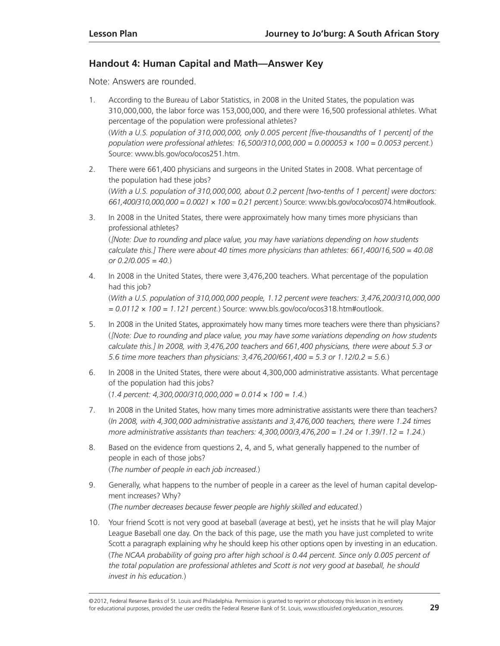#### **Handout 4: Human Capital and Math—Answer Key**

Note: Answers are rounded.

- 1. According to the Bureau of Labor Statistics, in 2008 in the United States, the population was 310,000,000, the labor force was 153,000,000, and there were 16,500 professional athletes. What percentage of the population were professional athletes? (*With a U.S. population of 310,000,000, only 0.005 percent [five-thousandths of 1 percent] of the population were professional athletes: 16,500/310,000,000 = 0.000053 × 100 = 0.0053 percent.*) Source: www.bls.gov/oco/ocos251.htm.
- 2. There were 661,400 physicians and surgeons in the United States in 2008. What percentage of the population had these jobs? (*With a U.S. population of 310,000,000, about 0.2 percent [two-tenths of 1 percent] were doctors: 661,400/310,000,000 = 0.0021 × 100 = 0.21 percent.*) Source: [www.bls.gov/oco/ocos074.htm#outlook.](http://www.bls.gov/oco/ocos074.htm#outlook)
- 3. In 2008 in the United States, there were approximately how many times more physicians than professional athletes?

(*[Note: Due to rounding and place value, you may have variations depending on how students calculate this.] There were about 40 times more physicians than athletes: 661,400/16,500 = 40.08 or 0.2/0.005 = 40.*)

- 4. In 2008 in the United States, there were 3,476,200 teachers. What percentage of the population had this job? (*With a U.S. population of 310,000,000 people, 1.12 percent were teachers: 3,476,200/310,000,000 = 0.0112 × 100 = 1.121 percent.*) Source: www.bls.gov/oco/ocos318.htm#outlook.
- 5. In 2008 in the United States, approximately how many times more teachers were there than physicians? (*[Note: Due to rounding and place value, you may have some variations depending on how students calculate this.] In 2008, with 3,476,200 teachers and 661,400 physicians, there were about 5.3 or 5.6 time more teachers than physicians: 3,476,200/661,400 = 5.3 or 1.12/0.2 = 5.6.*)
- 6. In 2008 in the United States, there were about 4,300,000 administrative assistants. What percentage of the population had this jobs? (*1.4 percent: 4,300,000/310,000,000 = 0.014 × 100 = 1.4.*)
- 7. In 2008 in the United States, how many times more administrative assistants were there than teachers? (*In 2008, with 4,300,000 administrative assistants and 3,476,000 teachers, there were 1.24 times more administrative assistants than teachers: 4,300,000/3,476,200 = 1.24 or 1.39/1.12 = 1.24.*)
- 8. Based on the evidence from questions 2, 4, and 5, what generally happened to the number of people in each of those jobs? (*The number of people in each job increased.*)
- 9. Generally, what happens to the number of people in a career as the level of human capital development increases? Why? (*The number decreases because fewer people are highly skilled and educated.*)
- 10. Your friend Scott is not very good at baseball (average at best), yet he insists that he will play Major League Baseball one day. On the back of this page, use the math you have just completed to write Scott a paragraph explaining why he should keep his other options open by investing in an education. (*The NCAA probability of going pro after high school is 0.44 percent. Since only 0.005 percent of the total population are professional athletes and Scott is not very good at baseball, he should invest in his education.*)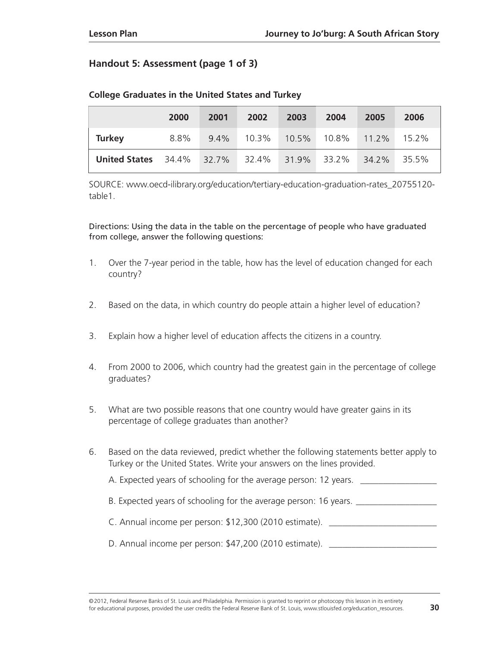#### **Handout 5: Assessment (page 1 of 3)**

|                            | 2000 | 2001    | 2002  | 2003        | 2004  | 2005     | 2006     |
|----------------------------|------|---------|-------|-------------|-------|----------|----------|
| <b>Turkey</b>              | 8.8% | $9.4\%$ | 10.3% | 10.5%       | 10.8% | $11.2\%$ | $15.2\%$ |
| <b>United States</b> 34.4% |      | 32.7%   | 32.4% | 31.9% 33.2% |       | 34.2%    | 35.5%    |

#### **College Graduates in the United States and Turkey**

SOURCE: [www.oecd-ilibrary.org/education/tertiary-education-graduation-rates\\_20755120](http://www.oecd-ilibrary.org/education/tertiary-education-graduation-rates_20755120-table1) [table1.](http://www.oecd-ilibrary.org/education/tertiary-education-graduation-rates_20755120-table1)

Directions: Using the data in the table on the percentage of people who have graduated from college, answer the following questions:

- 1. Over the 7-year period in the table, how has the level of education changed for each country?
- 2. Based on the data, in which country do people attain a higher level of education?
- 3. Explain how a higher level of education affects the citizens in a country.
- 4. From 2000 to 2006, which country had the greatest gain in the percentage of college graduates?
- 5. What are two possible reasons that one country would have greater gains in its percentage of college graduates than another?
- 6. Based on the data reviewed, predict whether the following statements better apply to Turkey or the United States. Write your answers on the lines provided.

A. Expected years of schooling for the average person: 12 years.

B. Expected years of schooling for the average person: 16 years. \_\_\_\_\_\_\_\_\_\_\_\_\_\_\_

- C. Annual income per person: \$12,300 (2010 estimate). \_\_\_\_\_\_\_\_\_\_\_\_\_\_\_\_\_\_\_\_\_\_\_\_
- D. Annual income per person: \$47,200 (2010 estimate).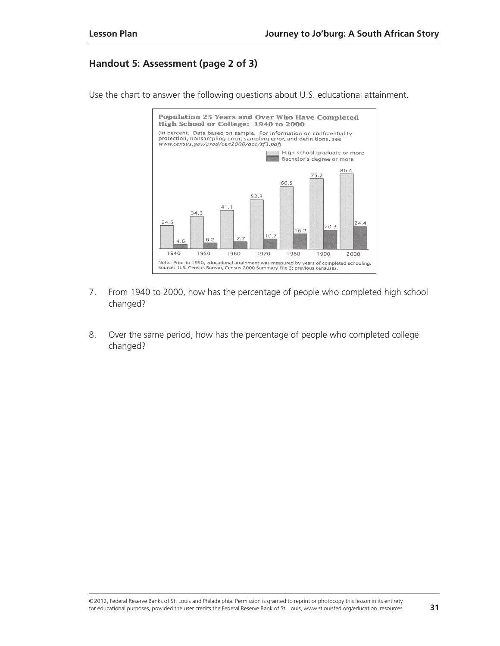#### **Handout 5: Assessment (page 2 of 3)**

Use the chart to answer the following questions about U.S. educational attainment.



- 7. From 1940 to 2000, how has the percentage of people who completed high school changed?
- 8. Over the same period, how has the percentage of people who completed college changed?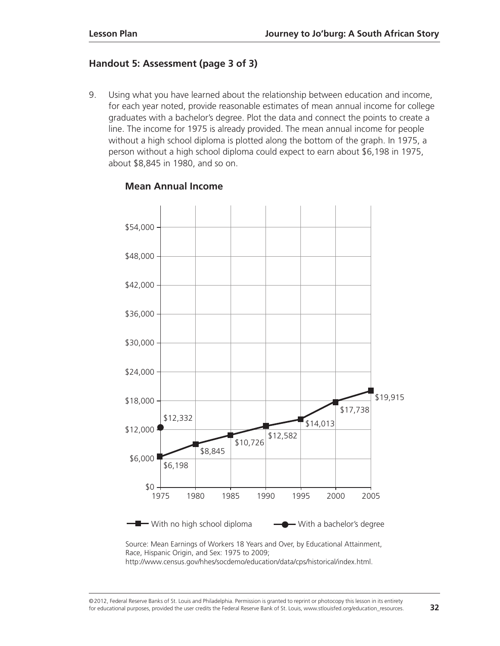#### **Handout 5: Assessment (page 3 of 3)**

9. Using what you have learned about the relationship between education and income, for each year noted, provide reasonable estimates of mean annual income for college graduates with a bachelor's degree. Plot the data and connect the points to create a line. The income for 1975 is already provided. The mean annual income for people without a high school diploma is plotted along the bottom of the graph. In 1975, a person without a high school diploma could expect to earn about \$6,198 in 1975, about \$8,845 in 1980, and so on.



#### **Mean Annual Income**

Source: Mean Earnings of Workers 18 Years and Over, by Educational Attainment, Race, Hispanic Origin, and Sex: 1975 to 2009; http://www.census.gov/hhes/socdemo/education/data/cps/historical/index.html.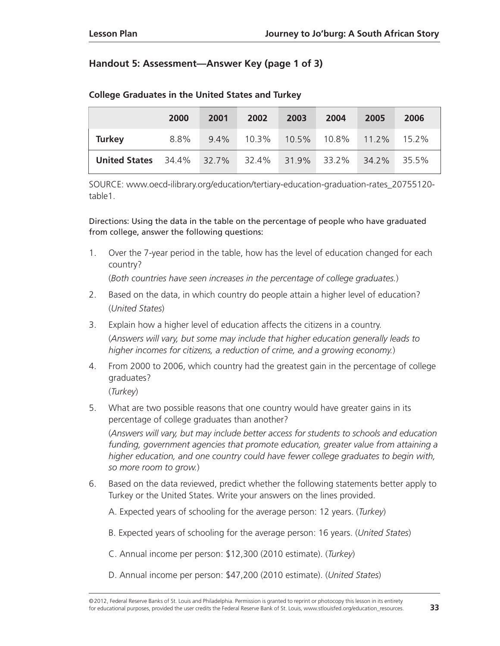#### **Handout 5: Assessment—Answer Key (page 1 of 3)**

|                                  | 2000 | 2001    | 2002  | 2003     | 2004  | 2005  | 2006  |
|----------------------------------|------|---------|-------|----------|-------|-------|-------|
| <b>Turkey</b>                    | 8.8% | $9.4\%$ | 10.3% | $10.5\%$ |       |       | 15.2% |
| <b>United States</b> 34.4% 32.7% |      |         | 32.4% | 31.9%    | 33.2% | 34.2% | 35.5% |

#### **College Graduates in the United States and Turkey**

SOURCE: [www.oecd-ilibrary.org/education/tertiary-education-graduation-rates\\_20755120](http://www.oecd-ilibrary.org/education/tertiary-education-graduation-rates_20755120-table1) [table1.](http://www.oecd-ilibrary.org/education/tertiary-education-graduation-rates_20755120-table1)

Directions: Using the data in the table on the percentage of people who have graduated from college, answer the following questions:

1. Over the 7-year period in the table, how has the level of education changed for each country?

(*Both countries have seen increases in the percentage of college graduates.*)

- 2. Based on the data, in which country do people attain a higher level of education? (*United States*)
- 3. Explain how a higher level of education affects the citizens in a country. (*Answers will vary, but some may include that higher education generally leads to higher incomes for citizens, a reduction of crime, and a growing economy.*)
- 4. From 2000 to 2006, which country had the greatest gain in the percentage of college graduates?

(*Turkey*)

- 5. What are two possible reasons that one country would have greater gains in its percentage of college graduates than another? (*Answers will vary, but may include better access for students to schools and education funding, government agencies that promote education, greater value from attaining a higher education, and one country could have fewer college graduates to begin with, so more room to grow.*)
- 6. Based on the data reviewed, predict whether the following statements better apply to Turkey or the United States. Write your answers on the lines provided.
	- A. Expected years of schooling for the average person: 12 years. (*Turkey*)
	- B. Expected years of schooling for the average person: 16 years. (*United States*)
	- C. Annual income per person: \$12,300 (2010 estimate). (*Turkey*)
	- D. Annual income per person: \$47,200 (2010 estimate). (*United States*)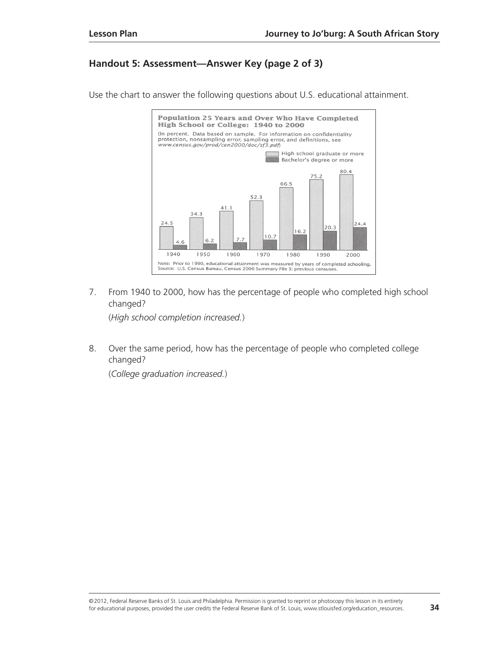#### **Handout 5: Assessment—Answer Key (page 2 of 3)**

Use the chart to answer the following questions about U.S. educational attainment.



7. From 1940 to 2000, how has the percentage of people who completed high school changed?

(*High school completion increased.*)

8. Over the same period, how has the percentage of people who completed college changed?

(*College graduation increased.*)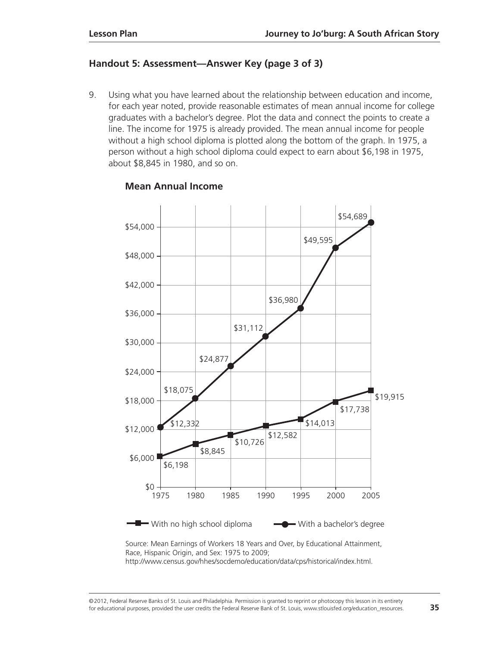#### **Handout 5: Assessment—Answer Key (page 3 of 3)**

9. Using what you have learned about the relationship between education and income, for each year noted, provide reasonable estimates of mean annual income for college graduates with a bachelor's degree. Plot the data and connect the points to create a line. The income for 1975 is already provided. The mean annual income for people without a high school diploma is plotted along the bottom of the graph. In 1975, a person without a high school diploma could expect to earn about \$6,198 in 1975, about \$8,845 in 1980, and so on.



#### **Mean Annual Income**

Source: Mean Earnings of Workers 18 Years and Over, by Educational Attainment, Race, Hispanic Origin, and Sex: 1975 to 2009; http://www.census.gov/hhes/socdemo/education/data/cps/historical/index.html.